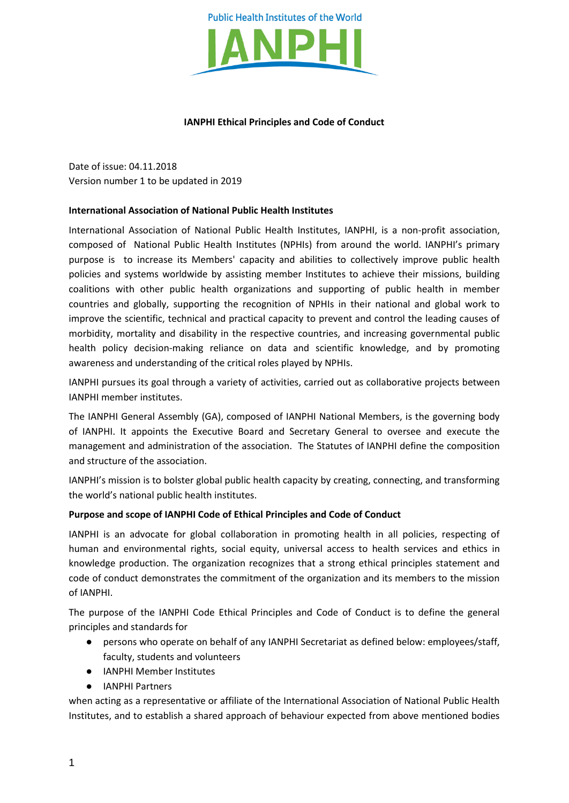

### **IANPHI Ethical Principles and Code of Conduct**

Date of issue: 04.11.2018 Version number 1 to be updated in 2019

### **International Association of National Public Health Institutes**

International Association of National Public Health Institutes, IANPHI, is a non-profit association, composed of National Public Health Institutes (NPHIs) from around the world. IANPHI's primary purpose is to increase its Members' capacity and abilities to collectively improve public health policies and systems worldwide by assisting member Institutes to achieve their missions, building coalitions with other public health organizations and supporting of public health in member countries and globally, supporting the recognition of NPHIs in their national and global work to improve the scientific, technical and practical capacity to prevent and control the leading causes of morbidity, mortality and disability in the respective countries, and increasing governmental public health policy decision-making reliance on data and scientific knowledge, and by promoting awareness and understanding of the critical roles played by NPHIs.

IANPHI pursues its goal through a variety of activities, carried out as collaborative projects between IANPHI member institutes.

The IANPHI General Assembly (GA), composed of IANPHI National Members, is the governing body of IANPHI. It appoints the Executive Board and Secretary General to oversee and execute the management and administration of the association. The Statutes of IANPHI define the composition and structure of the association.

IANPHI's mission is to bolster global public health capacity by creating, connecting, and transforming the world's national public health institutes.

### **Purpose and scope of IANPHI Code of Ethical Principles and Code of Conduct**

IANPHI is an advocate for global collaboration in promoting health in all policies, respecting of human and environmental rights, social equity, universal access to health services and ethics in knowledge production. The organization recognizes that a strong ethical principles statement and code of conduct demonstrates the commitment of the organization and its members to the mission of IANPHI.

The purpose of the IANPHI Code Ethical Principles and Code of Conduct is to define the general principles and standards for

- persons who operate on behalf of any IANPHI Secretariat as defined below: employees/staff, faculty, students and volunteers
- IANPHI Member Institutes
- IANPHI Partners

when acting as a representative or affiliate of the International Association of National Public Health Institutes, and to establish a shared approach of behaviour expected from above mentioned bodies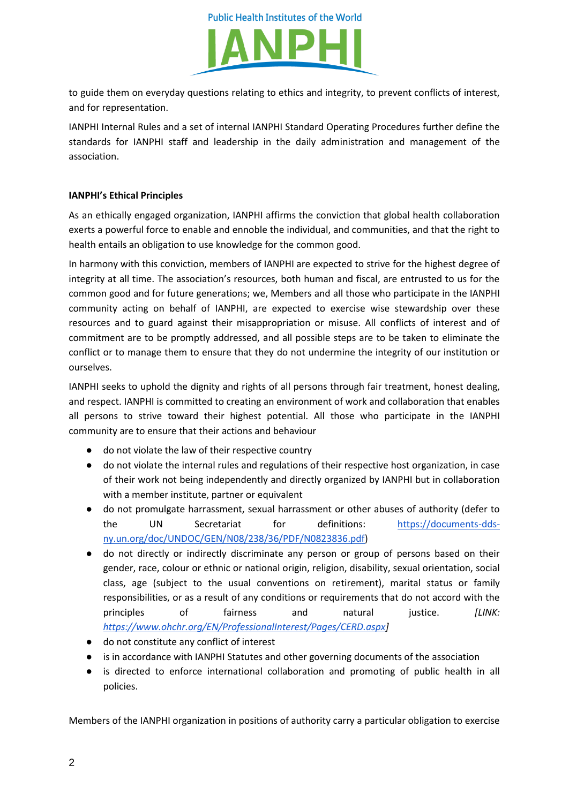



to guide them on everyday questions relating to ethics and integrity, to prevent conflicts of interest, and for representation.

IANPHI Internal Rules and a set of internal IANPHI Standard Operating Procedures further define the standards for IANPHI staff and leadership in the daily administration and management of the association.

# **IANPHI's Ethical Principles**

As an ethically engaged organization, IANPHI affirms the conviction that global health collaboration exerts a powerful force to enable and ennoble the individual, and communities, and that the right to health entails an obligation to use knowledge for the common good.

In harmony with this conviction, members of IANPHI are expected to strive for the highest degree of integrity at all time. The association's resources, both human and fiscal, are entrusted to us for the common good and for future generations; we, Members and all those who participate in the IANPHI community acting on behalf of IANPHI, are expected to exercise wise stewardship over these resources and to guard against their misappropriation or misuse. All conflicts of interest and of commitment are to be promptly addressed, and all possible steps are to be taken to eliminate the conflict or to manage them to ensure that they do not undermine the integrity of our institution or ourselves.

IANPHI seeks to uphold the dignity and rights of all persons through fair treatment, honest dealing, and respect. IANPHI is committed to creating an environment of work and collaboration that enables all persons to strive toward their highest potential. All those who participate in the IANPHI community are to ensure that their actions and behaviour

- do not violate the law of their respective country
- do not violate the internal rules and regulations of their respective host organization, in case of their work not being independently and directly organized by IANPHI but in collaboration with a member institute, partner or equivalent
- do not promulgate harrassment, sexual harrassment or other abuses of authority (defer to the UN Secretariat for definitions: [https://documents-dds](https://documents-dds-ny.un.org/doc/UNDOC/GEN/N08/238/36/PDF/N0823836.pdf)[ny.un.org/doc/UNDOC/GEN/N08/238/36/PDF/N0823836.pdf\)](https://documents-dds-ny.un.org/doc/UNDOC/GEN/N08/238/36/PDF/N0823836.pdf)
- do not directly or indirectly discriminate any person or group of persons based on their gender, race, colour or ethnic or national origin, religion, disability, sexual orientation, social class, age (subject to the usual conventions on retirement), marital status or family responsibilities, or as a result of any conditions or requirements that do not accord with the principles of fairness and natural justice. *[LINK: [https://www.ohchr.org/EN/ProfessionalInterest/Pages/CERD.aspx\]](https://www.ohchr.org/EN/ProfessionalInterest/Pages/CERD.aspx)*
- do not constitute any conflict of interest
- is in accordance with IANPHI Statutes and other governing documents of the association
- is directed to enforce international collaboration and promoting of public health in all policies.

Members of the IANPHI organization in positions of authority carry a particular obligation to exercise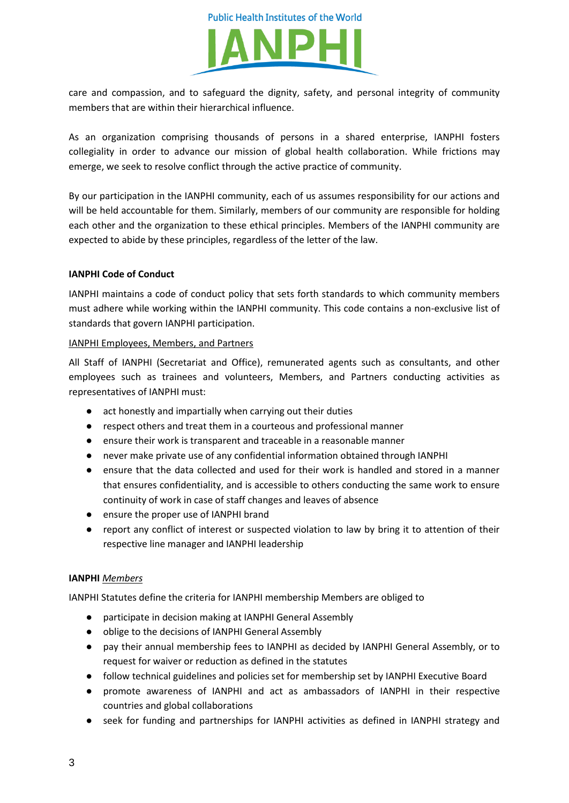

care and compassion, and to safeguard the dignity, safety, and personal integrity of community members that are within their hierarchical influence.

As an organization comprising thousands of persons in a shared enterprise, IANPHI fosters collegiality in order to advance our mission of global health collaboration. While frictions may emerge, we seek to resolve conflict through the active practice of community.

By our participation in the IANPHI community, each of us assumes responsibility for our actions and will be held accountable for them. Similarly, members of our community are responsible for holding each other and the organization to these ethical principles. Members of the IANPHI community are expected to abide by these principles, regardless of the letter of the law.

## **IANPHI Code of Conduct**

IANPHI maintains a code of conduct policy that sets forth standards to which community members must adhere while working within the IANPHI community. This code contains a non-exclusive list of standards that govern IANPHI participation.

## IANPHI Employees, Members, and Partners

All Staff of IANPHI (Secretariat and Office), remunerated agents such as consultants, and other employees such as trainees and volunteers, Members, and Partners conducting activities as representatives of IANPHI must:

- act honestly and impartially when carrying out their duties
- respect others and treat them in a courteous and professional manner
- ensure their work is transparent and traceable in a reasonable manner
- never make private use of any confidential information obtained through IANPHI
- ensure that the data collected and used for their work is handled and stored in a manner that ensures confidentiality, and is accessible to others conducting the same work to ensure continuity of work in case of staff changes and leaves of absence
- ensure the proper use of IANPHI brand
- report any conflict of interest or suspected violation to law by bring it to attention of their respective line manager and IANPHI leadership

# **IANPHI** *Members*

IANPHI Statutes define the criteria for IANPHI membership Members are obliged to

- participate in decision making at IANPHI General Assembly
- oblige to the decisions of IANPHI General Assembly
- pay their annual membership fees to IANPHI as decided by IANPHI General Assembly, or to request for waiver or reduction as defined in the statutes
- follow technical guidelines and policies set for membership set by IANPHI Executive Board
- promote awareness of IANPHI and act as ambassadors of IANPHI in their respective countries and global collaborations
- seek for funding and partnerships for IANPHI activities as defined in IANPHI strategy and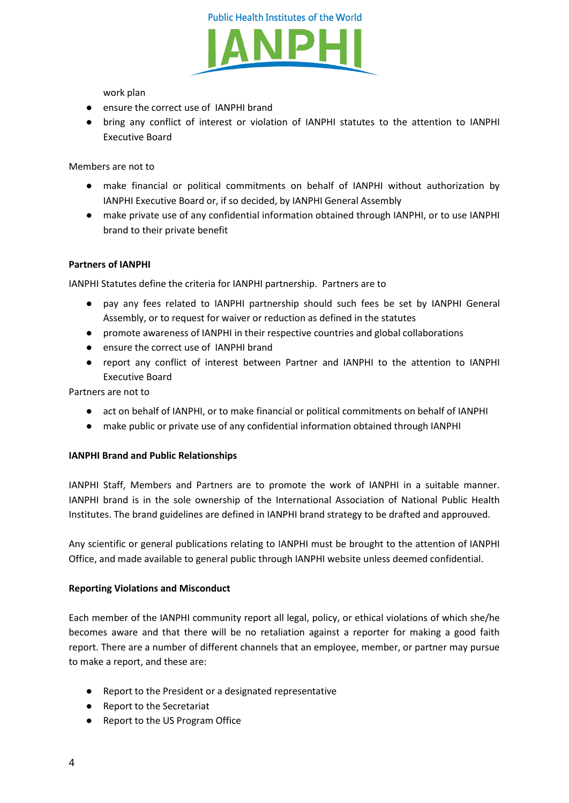



work plan

- ensure the correct use of IANPHI brand
- bring any conflict of interest or violation of IANPHI statutes to the attention to IANPHI Executive Board

Members are not to

- make financial or political commitments on behalf of IANPHI without authorization by IANPHI Executive Board or, if so decided, by IANPHI General Assembly
- make private use of any confidential information obtained through IANPHI, or to use IANPHI brand to their private benefit

## **Partners of IANPHI**

IANPHI Statutes define the criteria for IANPHI partnership. Partners are to

- pay any fees related to IANPHI partnership should such fees be set by IANPHI General Assembly, or to request for waiver or reduction as defined in the statutes
- promote awareness of IANPHI in their respective countries and global collaborations
- ensure the correct use of IANPHI brand
- report any conflict of interest between Partner and IANPHI to the attention to IANPHI Executive Board

Partners are not to

- act on behalf of IANPHI, or to make financial or political commitments on behalf of IANPHI
- make public or private use of any confidential information obtained through IANPHI

### **IANPHI Brand and Public Relationships**

IANPHI Staff, Members and Partners are to promote the work of IANPHI in a suitable manner. IANPHI brand is in the sole ownership of the International Association of National Public Health Institutes. The brand guidelines are defined in IANPHI brand strategy to be drafted and approuved.

Any scientific or general publications relating to IANPHI must be brought to the attention of IANPHI Office, and made available to general public through IANPHI website unless deemed confidential.

### **Reporting Violations and Misconduct**

Each member of the IANPHI community report all legal, policy, or ethical violations of which she/he becomes aware and that there will be no retaliation against a reporter for making a good faith report. There are a number of different channels that an employee, member, or partner may pursue to make a report, and these are:

- Report to the President or a designated representative
- Report to the Secretariat
- Report to the US Program Office